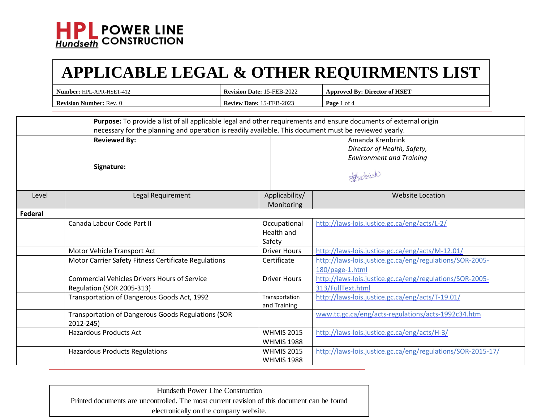

|         | Number: HPL-APR-HSET-412                                                                                                                                                                                                   | Revision Date: 15-FEB-2022 |                                        | <b>Approved By: Director of HSET</b>                                               |
|---------|----------------------------------------------------------------------------------------------------------------------------------------------------------------------------------------------------------------------------|----------------------------|----------------------------------------|------------------------------------------------------------------------------------|
|         | <b>Revision Number: Rev. 0</b><br>Review Date: 15-FEB-2023                                                                                                                                                                 |                            |                                        | Page 1 of 4                                                                        |
|         | Purpose: To provide a list of all applicable legal and other requirements and ensure documents of external origin<br>necessary for the planning and operation is readily available. This document must be reviewed yearly. |                            |                                        |                                                                                    |
|         | <b>Reviewed By:</b>                                                                                                                                                                                                        |                            |                                        | Amanda Krenbrink<br>Director of Health, Safety,<br><b>Environment and Training</b> |
|         | Signature:                                                                                                                                                                                                                 |                            |                                        | Strenburk                                                                          |
| Level   | Legal Requirement                                                                                                                                                                                                          |                            | Applicability/<br>Monitoring           | <b>Website Location</b>                                                            |
| Federal |                                                                                                                                                                                                                            |                            |                                        |                                                                                    |
|         | Canada Labour Code Part II                                                                                                                                                                                                 | Safety                     | Occupational<br>Health and             | http://laws-lois.justice.gc.ca/eng/acts/L-2/                                       |
|         | Motor Vehicle Transport Act                                                                                                                                                                                                |                            | <b>Driver Hours</b>                    | http://laws-lois.justice.gc.ca/eng/acts/M-12.01/                                   |
|         | Motor Carrier Safety Fitness Certificate Regulations                                                                                                                                                                       |                            | Certificate                            | http://laws-lois.justice.gc.ca/eng/regulations/SOR-2005-<br>180/page-1.html        |
|         | <b>Commercial Vehicles Drivers Hours of Service</b><br>Regulation (SOR 2005-313)                                                                                                                                           |                            | <b>Driver Hours</b>                    | http://laws-lois.justice.gc.ca/eng/regulations/SOR-2005-<br>313/FullText.html      |
|         | Transportation of Dangerous Goods Act, 1992                                                                                                                                                                                |                            | Transportation<br>and Training         | http://laws-lois.justice.gc.ca/eng/acts/T-19.01/                                   |
|         | Transportation of Dangerous Goods Regulations (SOR<br>2012-245)                                                                                                                                                            |                            |                                        | www.tc.gc.ca/eng/acts-regulations/acts-1992c34.htm                                 |
|         | <b>Hazardous Products Act</b>                                                                                                                                                                                              |                            | <b>WHMIS 2015</b><br><b>WHMIS 1988</b> | http://laws-lois.justice.gc.ca/eng/acts/H-3/                                       |
|         | <b>Hazardous Products Regulations</b>                                                                                                                                                                                      |                            | <b>WHMIS 2015</b><br><b>WHMIS 1988</b> | http://laws-lois.justice.gc.ca/eng/regulations/SOR-2015-17/                        |

Hundseth Power Line Construction Printed documents are uncontrolled. The most current revision of this document can be found electronically on the company website.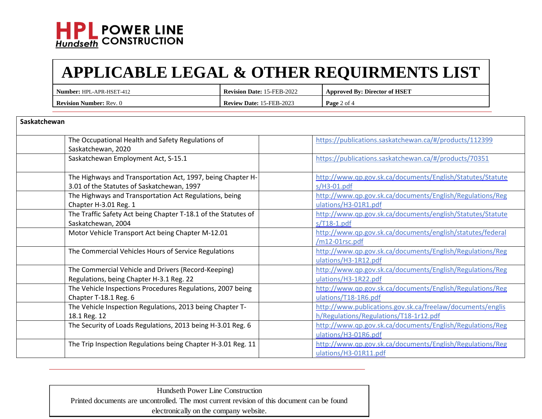

## **APPLICABLE LEGAL & OTHER REQUIRMENTS LIST**

| : HPL-APR-HSET-412<br>Number: \   | 15-FEB-2022<br>Date:<br>Revision <i>'</i> | <b>Approved By: Director of HSET</b> |
|-----------------------------------|-------------------------------------------|--------------------------------------|
| <b>Revision</b><br>Number: Rev. 0 | <b>Review Date: 15-FEB-2023</b>           | <b>Page</b> 2 of 4                   |

| Saskatchewan                                                                                              |                                                                                                      |  |
|-----------------------------------------------------------------------------------------------------------|------------------------------------------------------------------------------------------------------|--|
| The Occupational Health and Safety Regulations of<br>Saskatchewan, 2020                                   | https://publications.saskatchewan.ca/#/products/112399                                               |  |
| Saskatchewan Employment Act, S-15.1                                                                       | https://publications.saskatchewan.ca/#/products/70351                                                |  |
| The Highways and Transportation Act, 1997, being Chapter H-<br>3.01 of the Statutes of Saskatchewan, 1997 | http://www.qp.gov.sk.ca/documents/English/Statutes/Statute<br>$s/H3-01.pdf$                          |  |
| The Highways and Transportation Act Regulations, being<br>Chapter H-3.01 Reg. 1                           | http://www.qp.gov.sk.ca/documents/English/Regulations/Reg<br>ulations/H3-01R1.pdf                    |  |
| The Traffic Safety Act being Chapter T-18.1 of the Statutes of<br>Saskatchewan, 2004                      | http://www.qp.gov.sk.ca/documents/english/Statutes/Statute<br>$s/T18-1.pdf$                          |  |
| Motor Vehicle Transport Act being Chapter M-12.01                                                         | http://www.qp.gov.sk.ca/documents/english/statutes/federal<br>/m12-01rsc.pdf                         |  |
| The Commercial Vehicles Hours of Service Regulations                                                      | http://www.qp.gov.sk.ca/documents/English/Regulations/Reg<br>ulations/H3-1R12.pdf                    |  |
| The Commercial Vehicle and Drivers (Record-Keeping)<br>Regulations, being Chapter H-3.1 Reg. 22           | http://www.qp.gov.sk.ca/documents/English/Regulations/Reg<br>ulations/H3-1R22.pdf                    |  |
| The Vehicle Inspections Procedures Regulations, 2007 being<br>Chapter T-18.1 Reg. 6                       | http://www.qp.gov.sk.ca/documents/English/Regulations/Reg<br>ulations/T18-1R6.pdf                    |  |
| The Vehicle Inspection Regulations, 2013 being Chapter T-<br>18.1 Reg. 12                                 | http://www.publications.gov.sk.ca/freelaw/documents/englis<br>h/Regulations/Regulations/T18-1r12.pdf |  |
| The Security of Loads Regulations, 2013 being H-3.01 Reg. 6                                               | http://www.qp.gov.sk.ca/documents/English/Regulations/Reg<br>ulations/H3-01R6.pdf                    |  |
| The Trip Inspection Regulations being Chapter H-3.01 Reg. 11                                              | http://www.qp.gov.sk.ca/documents/English/Regulations/Reg<br>ulations/H3-01R11.pdf                   |  |

Hundseth Power Line Construction Printed documents are uncontrolled. The most current revision of this document can be found electronically on the company website.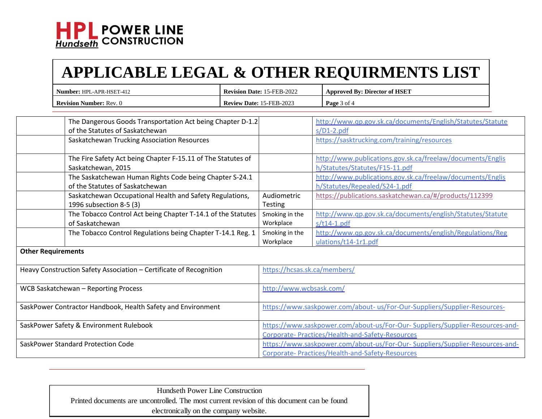

## **APPLICABLE LEGAL & OTHER REQUIRMENTS LIST**

| Number: HPL-APR-HSET-412       | <b>Revision Date: 15-FEB-2022</b>  | <b>Approved By: Director of HSET</b> |
|--------------------------------|------------------------------------|--------------------------------------|
| <b>Revision Number: Rev. 0</b> | <b>Review</b><br>Date: 15-FEB-2023 | <b>Page</b> 3 of 4                   |

|                                                                    | The Dangerous Goods Transportation Act being Chapter D-1.2   |                                                                              | http://www.qp.gov.sk.ca/documents/English/Statutes/Statute |
|--------------------------------------------------------------------|--------------------------------------------------------------|------------------------------------------------------------------------------|------------------------------------------------------------|
|                                                                    | of the Statutes of Saskatchewan                              |                                                                              | $s/D1-2.pdf$                                               |
|                                                                    | Saskatchewan Trucking Association Resources                  |                                                                              | https://sasktrucking.com/training/resources                |
|                                                                    |                                                              |                                                                              |                                                            |
|                                                                    | The Fire Safety Act being Chapter F-15.11 of The Statutes of |                                                                              | http://www.publications.gov.sk.ca/freelaw/documents/Englis |
|                                                                    | Saskatchewan, 2015                                           |                                                                              | h/Statutes/Statutes/F15-11.pdf                             |
|                                                                    | The Saskatchewan Human Rights Code being Chapter S-24.1      |                                                                              | http://www.publications.gov.sk.ca/freelaw/documents/Englis |
|                                                                    | of the Statutes of Saskatchewan                              |                                                                              | h/Statutes/Repealed/S24-1.pdf                              |
|                                                                    | Saskatchewan Occupational Health and Safety Regulations,     | Audiometric                                                                  | https://publications.saskatchewan.ca/#/products/112399     |
|                                                                    | 1996 subsection 8-5 (3)                                      | Testing                                                                      |                                                            |
|                                                                    | The Tobacco Control Act being Chapter T-14.1 of the Statutes | Smoking in the                                                               | http://www.qp.gov.sk.ca/documents/english/Statutes/Statute |
|                                                                    | of Saskatchewan                                              | Workplace                                                                    | $s/t14-1.pdf$                                              |
|                                                                    | The Tobacco Control Regulations being Chapter T-14.1 Reg. 1  | Smoking in the                                                               | http://www.qp.gov.sk.ca/documents/english/Regulations/Reg  |
|                                                                    |                                                              | Workplace                                                                    | ulations/t14-1r1.pdf                                       |
| <b>Other Requirements</b>                                          |                                                              |                                                                              |                                                            |
|                                                                    |                                                              |                                                                              |                                                            |
| Heavy Construction Safety Association - Certificate of Recognition |                                                              | https://hcsas.sk.ca/members/                                                 |                                                            |
|                                                                    |                                                              |                                                                              |                                                            |
| WCB Saskatchewan - Reporting Process                               |                                                              | http://www.wcbsask.com/                                                      |                                                            |
|                                                                    |                                                              |                                                                              |                                                            |
| SaskPower Contractor Handbook, Health Safety and Environment       |                                                              | https://www.saskpower.com/about- us/For-Our-Suppliers/Supplier-Resources-    |                                                            |
|                                                                    |                                                              |                                                                              |                                                            |
| SaskPower Safety & Environment Rulebook                            |                                                              | https://www.saskpower.com/about-us/For-Our-Suppliers/Supplier-Resources-and- |                                                            |
|                                                                    |                                                              |                                                                              | Corporate- Practices/Health-and-Safety-Resources           |
| SaskPower Standard Protection Code                                 |                                                              | https://www.saskpower.com/about-us/For-Our-Suppliers/Supplier-Resources-and- |                                                            |
|                                                                    |                                                              |                                                                              | Corporate- Practices/Health-and-Safety-Resources           |

| Hundseth Power Line Construction                                                            |
|---------------------------------------------------------------------------------------------|
| Printed documents are uncontrolled. The most current revision of this document can be found |
| electronically on the company website.                                                      |